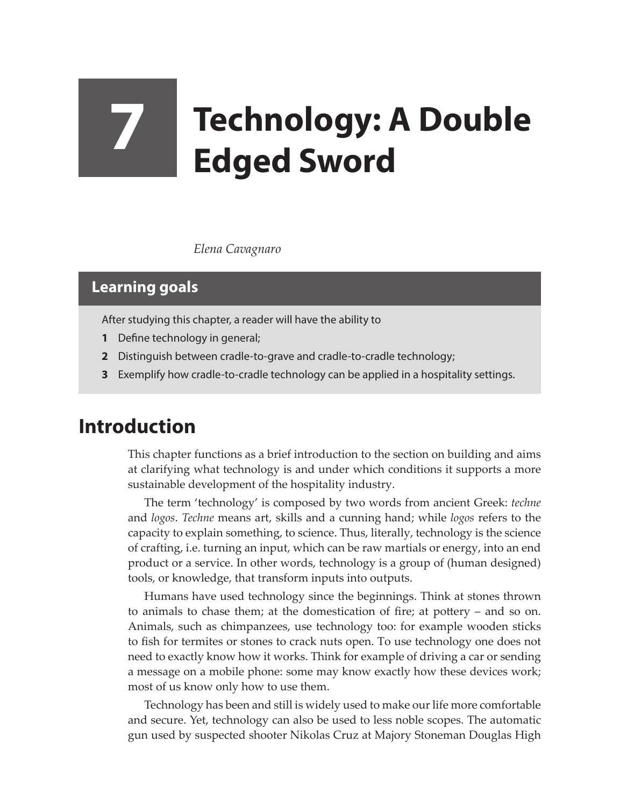## **7 Technology: A Double Edged Sword**

*Elena Cavagnaro*

## **Learning goals**

After studying this chapter, a reader will have the ability to

- **1** Define technology in general;
- **2** Distinguish between cradle-to-grave and cradle-to-cradle technology;
- **3** Exemplify how cradle-to-cradle technology can be applied in a hospitality settings.

## **Introduction**

This chapter functions as a brief introduction to the section on building and aims at clarifying what technology is and under which conditions it supports a more sustainable development of the hospitality industry.

The term 'technology' is composed by two words from ancient Greek: *techne* and *logos*. *Techne* means art, skills and a cunning hand; while *logos* refers to the capacity to explain something, to science. Thus, literally, technology is the science of crafting, i.e. turning an input, which can be raw martials or energy, into an end product or a service. In other words, technology is a group of (human designed) tools, or knowledge, that transform inputs into outputs.

Humans have used technology since the beginnings. Think at stones thrown to animals to chase them; at the domestication of fire; at pottery – and so on. Animals, such as chimpanzees, use technology too: for example wooden sticks to fish for termites or stones to crack nuts open. To use technology one does not need to exactly know how it works. Think for example of driving a car or sending a message on a mobile phone: some may know exactly how these devices work; most of us know only how to use them.

Technology has been and still is widely used to make our life more comfortable and secure. Yet, technology can also be used to less noble scopes. The automatic gun used by suspected shooter Nikolas Cruz at Majory Stoneman Douglas High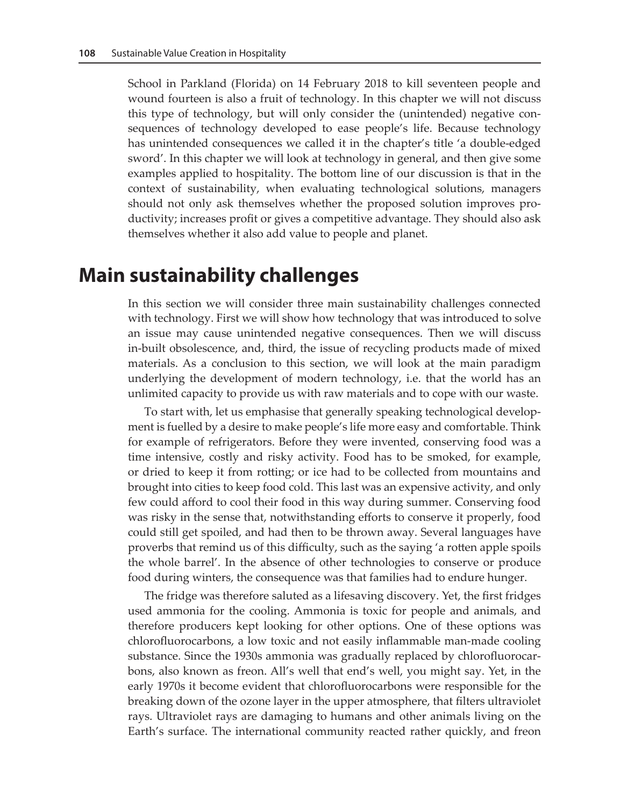School in Parkland (Florida) on 14 February 2018 to kill seventeen people and wound fourteen is also a fruit of technology. In this chapter we will not discuss this type of technology, but will only consider the (unintended) negative consequences of technology developed to ease people's life. Because technology has unintended consequences we called it in the chapter's title 'a double-edged sword'. In this chapter we will look at technology in general, and then give some examples applied to hospitality. The bottom line of our discussion is that in the context of sustainability, when evaluating technological solutions, managers should not only ask themselves whether the proposed solution improves productivity; increases profit or gives a competitive advantage. They should also ask themselves whether it also add value to people and planet.

## **Main sustainability challenges**

In this section we will consider three main sustainability challenges connected with technology. First we will show how technology that was introduced to solve an issue may cause unintended negative consequences. Then we will discuss in-built obsolescence, and, third, the issue of recycling products made of mixed materials. As a conclusion to this section, we will look at the main paradigm underlying the development of modern technology, i.e. that the world has an unlimited capacity to provide us with raw materials and to cope with our waste.

To start with, let us emphasise that generally speaking technological development is fuelled by a desire to make people's life more easy and comfortable. Think for example of refrigerators. Before they were invented, conserving food was a time intensive, costly and risky activity. Food has to be smoked, for example, or dried to keep it from rotting; or ice had to be collected from mountains and brought into cities to keep food cold. This last was an expensive activity, and only few could afford to cool their food in this way during summer. Conserving food was risky in the sense that, notwithstanding efforts to conserve it properly, food could still get spoiled, and had then to be thrown away. Several languages have proverbs that remind us of this difficulty, such as the saying 'a rotten apple spoils the whole barrel'. In the absence of other technologies to conserve or produce food during winters, the consequence was that families had to endure hunger.

The fridge was therefore saluted as a lifesaving discovery. Yet, the first fridges used ammonia for the cooling. Ammonia is toxic for people and animals, and therefore producers kept looking for other options. One of these options was chlorofluorocarbons, a low toxic and not easily inflammable man-made cooling substance. Since the 1930s ammonia was gradually replaced by chlorofluorocarbons, also known as freon. All's well that end's well, you might say. Yet, in the early 1970s it become evident that chlorofluorocarbons were responsible for the breaking down of the ozone layer in the upper atmosphere, that filters ultraviolet rays. Ultraviolet rays are damaging to humans and other animals living on the Earth's surface. The international community reacted rather quickly, and freon